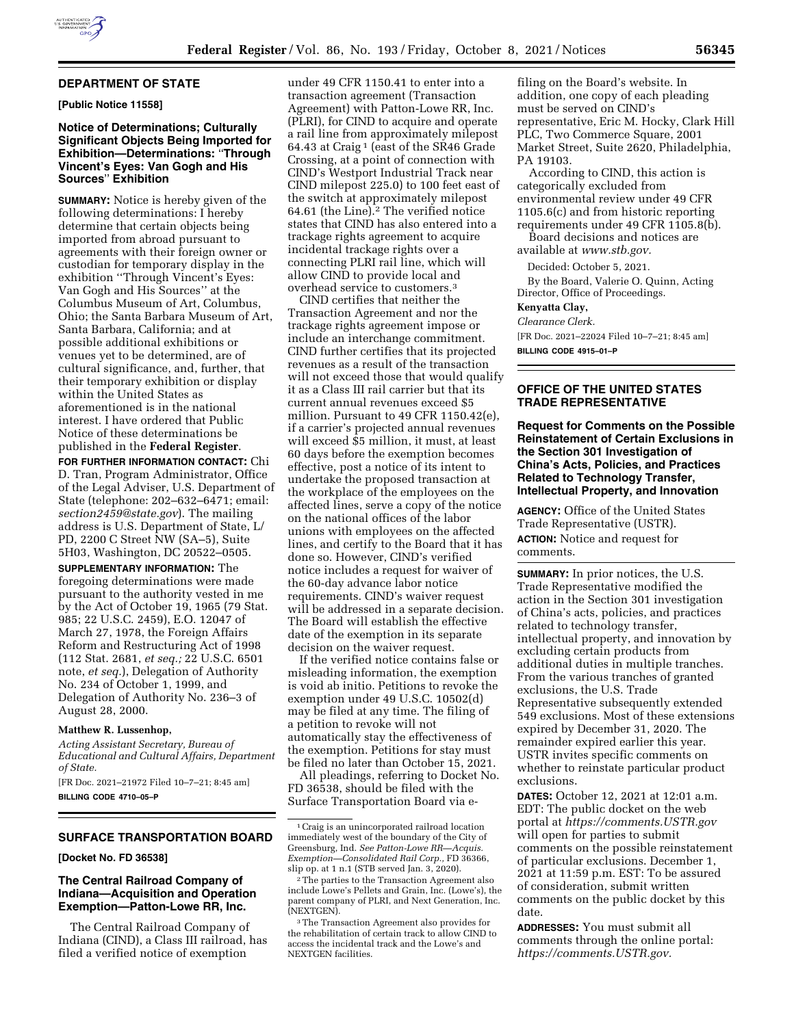## **DEPARTMENT OF STATE**

**[Public Notice 11558]** 

# **Notice of Determinations; Culturally Significant Objects Being Imported for Exhibition—Determinations:** ''**Through Vincent's Eyes: Van Gogh and His Sources**'' **Exhibition**

**SUMMARY:** Notice is hereby given of the following determinations: I hereby determine that certain objects being imported from abroad pursuant to agreements with their foreign owner or custodian for temporary display in the exhibition ''Through Vincent's Eyes: Van Gogh and His Sources'' at the Columbus Museum of Art, Columbus, Ohio; the Santa Barbara Museum of Art, Santa Barbara, California; and at possible additional exhibitions or venues yet to be determined, are of cultural significance, and, further, that their temporary exhibition or display within the United States as aforementioned is in the national interest. I have ordered that Public Notice of these determinations be published in the **Federal Register**.

**FOR FURTHER INFORMATION CONTACT:** Chi D. Tran, Program Administrator, Office of the Legal Adviser, U.S. Department of State (telephone: 202–632–6471; email: *[section2459@state.gov](mailto:section2459@state.gov)*). The mailing address is U.S. Department of State, L/ PD, 2200 C Street NW (SA–5), Suite 5H03, Washington, DC 20522–0505.

**SUPPLEMENTARY INFORMATION:** The foregoing determinations were made pursuant to the authority vested in me by the Act of October 19, 1965 (79 Stat. 985; 22 U.S.C. 2459), E.O. 12047 of March 27, 1978, the Foreign Affairs Reform and Restructuring Act of 1998 (112 Stat. 2681, *et seq.;* 22 U.S.C. 6501 note, *et seq.*), Delegation of Authority No. 234 of October 1, 1999, and Delegation of Authority No. 236–3 of August 28, 2000.

#### **Matthew R. Lussenhop,**

*Acting Assistant Secretary, Bureau of Educational and Cultural Affairs, Department of State.* 

[FR Doc. 2021–21972 Filed 10–7–21; 8:45 am] **BILLING CODE 4710–05–P** 

## **SURFACE TRANSPORTATION BOARD**

## **[Docket No. FD 36538]**

# **The Central Railroad Company of Indiana—Acquisition and Operation Exemption—Patton-Lowe RR, Inc.**

The Central Railroad Company of Indiana (CIND), a Class III railroad, has filed a verified notice of exemption

under 49 CFR 1150.41 to enter into a transaction agreement (Transaction Agreement) with Patton-Lowe RR, Inc. (PLRI), for CIND to acquire and operate a rail line from approximately milepost 64.43 at Craig 1 (east of the SR46 Grade Crossing, at a point of connection with CIND's Westport Industrial Track near CIND milepost 225.0) to 100 feet east of the switch at approximately milepost 64.61 (the Line).2 The verified notice states that CIND has also entered into a trackage rights agreement to acquire incidental trackage rights over a connecting PLRI rail line, which will allow CIND to provide local and overhead service to customers.3

CIND certifies that neither the Transaction Agreement and nor the trackage rights agreement impose or include an interchange commitment. CIND further certifies that its projected revenues as a result of the transaction will not exceed those that would qualify it as a Class III rail carrier but that its current annual revenues exceed \$5 million. Pursuant to 49 CFR 1150.42(e), if a carrier's projected annual revenues will exceed \$5 million, it must, at least 60 days before the exemption becomes effective, post a notice of its intent to undertake the proposed transaction at the workplace of the employees on the affected lines, serve a copy of the notice on the national offices of the labor unions with employees on the affected lines, and certify to the Board that it has done so. However, CIND's verified notice includes a request for waiver of the 60-day advance labor notice requirements. CIND's waiver request will be addressed in a separate decision. The Board will establish the effective date of the exemption in its separate decision on the waiver request.

If the verified notice contains false or misleading information, the exemption is void ab initio. Petitions to revoke the exemption under 49 U.S.C. 10502(d) may be filed at any time. The filing of a petition to revoke will not automatically stay the effectiveness of the exemption. Petitions for stay must be filed no later than October 15, 2021.

All pleadings, referring to Docket No. FD 36538, should be filed with the Surface Transportation Board via e-

filing on the Board's website. In addition, one copy of each pleading must be served on CIND's representative, Eric M. Hocky, Clark Hill PLC, Two Commerce Square, 2001 Market Street, Suite 2620, Philadelphia, PA 19103.

According to CIND, this action is categorically excluded from environmental review under 49 CFR 1105.6(c) and from historic reporting requirements under 49 CFR 1105.8(b).

Board decisions and notices are available at *[www.stb.gov.](http://www.stb.gov)* 

Decided: October 5, 2021. By the Board, Valerie O. Quinn, Acting Director, Office of Proceedings.

## **Kenyatta Clay,**

*Clearance Clerk.*  [FR Doc. 2021–22024 Filed 10–7–21; 8:45 am]

**BILLING CODE 4915–01–P** 

## **OFFICE OF THE UNITED STATES TRADE REPRESENTATIVE**

**Request for Comments on the Possible Reinstatement of Certain Exclusions in the Section 301 Investigation of China's Acts, Policies, and Practices Related to Technology Transfer, Intellectual Property, and Innovation** 

**AGENCY:** Office of the United States Trade Representative (USTR). **ACTION:** Notice and request for comments.

**SUMMARY:** In prior notices, the U.S. Trade Representative modified the action in the Section 301 investigation of China's acts, policies, and practices related to technology transfer, intellectual property, and innovation by excluding certain products from additional duties in multiple tranches. From the various tranches of granted exclusions, the U.S. Trade Representative subsequently extended 549 exclusions. Most of these extensions expired by December 31, 2020. The remainder expired earlier this year. USTR invites specific comments on whether to reinstate particular product exclusions.

**DATES:** October 12, 2021 at 12:01 a.m. EDT: The public docket on the web portal at *<https://comments.USTR.gov>* will open for parties to submit comments on the possible reinstatement of particular exclusions. December 1, 2021 at 11:59 p.m. EST: To be assured of consideration, submit written comments on the public docket by this date.

**ADDRESSES:** You must submit all comments through the online portal: *[https://comments.USTR.gov.](https://comments.USTR.gov)* 

<sup>1</sup>Craig is an unincorporated railroad location immediately west of the boundary of the City of Greensburg, Ind. *See Patton-Lowe RR—Acquis. Exemption—Consolidated Rail Corp.,* FD 36366, slip op. at 1 n.1 (STB served Jan. 3, 2020).

<sup>2</sup>The parties to the Transaction Agreement also include Lowe's Pellets and Grain, Inc. (Lowe's), the parent company of PLRI, and Next Generation, Inc. (NEXTGEN).

<sup>3</sup>The Transaction Agreement also provides for the rehabilitation of certain track to allow CIND to access the incidental track and the Lowe's and NEXTGEN facilities.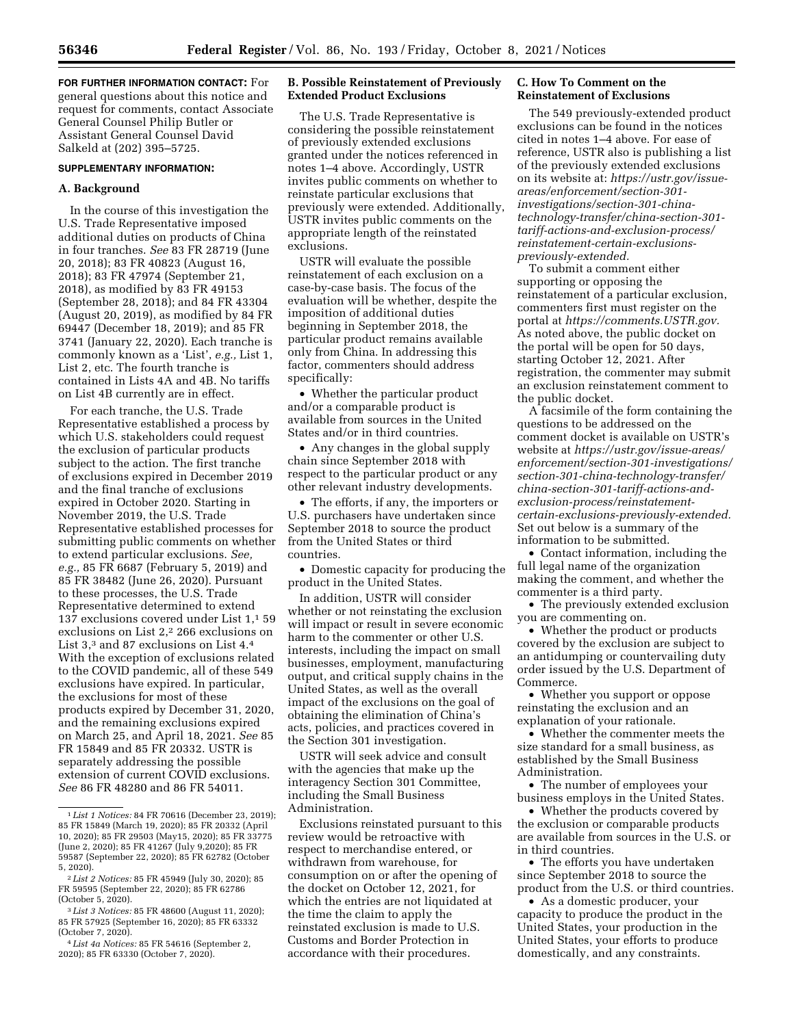**FOR FURTHER INFORMATION CONTACT:** For general questions about this notice and request for comments, contact Associate General Counsel Philip Butler or Assistant General Counsel David Salkeld at (202) 395–5725.

### **SUPPLEMENTARY INFORMATION:**

#### **A. Background**

In the course of this investigation the U.S. Trade Representative imposed additional duties on products of China in four tranches. *See* 83 FR 28719 (June 20, 2018); 83 FR 40823 (August 16, 2018); 83 FR 47974 (September 21, 2018), as modified by 83 FR 49153 (September 28, 2018); and 84 FR 43304 (August 20, 2019), as modified by 84 FR 69447 (December 18, 2019); and 85 FR 3741 (January 22, 2020). Each tranche is commonly known as a 'List', *e.g.,* List 1, List 2, etc. The fourth tranche is contained in Lists 4A and 4B. No tariffs on List 4B currently are in effect.

For each tranche, the U.S. Trade Representative established a process by which U.S. stakeholders could request the exclusion of particular products subject to the action. The first tranche of exclusions expired in December 2019 and the final tranche of exclusions expired in October 2020. Starting in November 2019, the U.S. Trade Representative established processes for submitting public comments on whether to extend particular exclusions. *See, e.g.,* 85 FR 6687 (February 5, 2019) and 85 FR 38482 (June 26, 2020). Pursuant to these processes, the U.S. Trade Representative determined to extend 137 exclusions covered under List 1,1 59 exclusions on List 2,<sup>2</sup> 266 exclusions on List 3,3 and 87 exclusions on List 4.4 With the exception of exclusions related to the COVID pandemic, all of these 549 exclusions have expired. In particular, the exclusions for most of these products expired by December 31, 2020, and the remaining exclusions expired on March 25, and April 18, 2021. *See* 85 FR 15849 and 85 FR 20332. USTR is separately addressing the possible extension of current COVID exclusions. *See* 86 FR 48280 and 86 FR 54011.

4 *List 4a Notices:* 85 FR 54616 (September 2, 2020); 85 FR 63330 (October 7, 2020).

# **B. Possible Reinstatement of Previously Extended Product Exclusions**

The U.S. Trade Representative is considering the possible reinstatement of previously extended exclusions granted under the notices referenced in notes 1–4 above. Accordingly, USTR invites public comments on whether to reinstate particular exclusions that previously were extended. Additionally, USTR invites public comments on the appropriate length of the reinstated exclusions.

USTR will evaluate the possible reinstatement of each exclusion on a case-by-case basis. The focus of the evaluation will be whether, despite the imposition of additional duties beginning in September 2018, the particular product remains available only from China. In addressing this factor, commenters should address specifically:

• Whether the particular product and/or a comparable product is available from sources in the United States and/or in third countries.

• Any changes in the global supply chain since September 2018 with respect to the particular product or any other relevant industry developments.

• The efforts, if any, the importers or U.S. purchasers have undertaken since September 2018 to source the product from the United States or third countries.

• Domestic capacity for producing the product in the United States.

In addition, USTR will consider whether or not reinstating the exclusion will impact or result in severe economic harm to the commenter or other U.S. interests, including the impact on small businesses, employment, manufacturing output, and critical supply chains in the United States, as well as the overall impact of the exclusions on the goal of obtaining the elimination of China's acts, policies, and practices covered in the Section 301 investigation.

USTR will seek advice and consult with the agencies that make up the interagency Section 301 Committee, including the Small Business Administration.

Exclusions reinstated pursuant to this review would be retroactive with respect to merchandise entered, or withdrawn from warehouse, for consumption on or after the opening of the docket on October 12, 2021, for which the entries are not liquidated at the time the claim to apply the reinstated exclusion is made to U.S. Customs and Border Protection in accordance with their procedures.

## **C. How To Comment on the Reinstatement of Exclusions**

The 549 previously-extended product exclusions can be found in the notices cited in notes 1–4 above. For ease of reference, USTR also is publishing a list of the previously extended exclusions on its website at: *[https://ustr.gov/issue](https://ustr.gov/issue-areas/enforcement/section-301-investigations/section-301-china-technology-transfer/china-section-301-tariff-actions-and-exclusion-process/reinstatement-certain-exclusions-previously-extended)[areas/enforcement/section-301](https://ustr.gov/issue-areas/enforcement/section-301-investigations/section-301-china-technology-transfer/china-section-301-tariff-actions-and-exclusion-process/reinstatement-certain-exclusions-previously-extended)  [investigations/section-301-china](https://ustr.gov/issue-areas/enforcement/section-301-investigations/section-301-china-technology-transfer/china-section-301-tariff-actions-and-exclusion-process/reinstatement-certain-exclusions-previously-extended)[technology-transfer/china-section-301](https://ustr.gov/issue-areas/enforcement/section-301-investigations/section-301-china-technology-transfer/china-section-301-tariff-actions-and-exclusion-process/reinstatement-certain-exclusions-previously-extended)  [tariff-actions-and-exclusion-process/](https://ustr.gov/issue-areas/enforcement/section-301-investigations/section-301-china-technology-transfer/china-section-301-tariff-actions-and-exclusion-process/reinstatement-certain-exclusions-previously-extended)  [reinstatement-certain-exclusions](https://ustr.gov/issue-areas/enforcement/section-301-investigations/section-301-china-technology-transfer/china-section-301-tariff-actions-and-exclusion-process/reinstatement-certain-exclusions-previously-extended)[previously-extended.](https://ustr.gov/issue-areas/enforcement/section-301-investigations/section-301-china-technology-transfer/china-section-301-tariff-actions-and-exclusion-process/reinstatement-certain-exclusions-previously-extended)* 

To submit a comment either supporting or opposing the reinstatement of a particular exclusion, commenters first must register on the portal at *[https://comments.USTR.gov.](https://comments.USTR.gov)*  As noted above, the public docket on the portal will be open for 50 days, starting October 12, 2021. After registration, the commenter may submit an exclusion reinstatement comment to the public docket.

A facsimile of the form containing the questions to be addressed on the comment docket is available on USTR's website at *[https://ustr.gov/issue-areas/](https://ustr.gov/issue-areas/enforcement/section-301-investigations/section-301-china-technology-transfer/china-section-301-tariff-actions-and-exclusion-process/reinstatement-certain-exclusions-previously-extended)  [enforcement/section-301-investigations/](https://ustr.gov/issue-areas/enforcement/section-301-investigations/section-301-china-technology-transfer/china-section-301-tariff-actions-and-exclusion-process/reinstatement-certain-exclusions-previously-extended)  [section-301-china-technology-transfer/](https://ustr.gov/issue-areas/enforcement/section-301-investigations/section-301-china-technology-transfer/china-section-301-tariff-actions-and-exclusion-process/reinstatement-certain-exclusions-previously-extended)  [china-section-301-tariff-actions-and](https://ustr.gov/issue-areas/enforcement/section-301-investigations/section-301-china-technology-transfer/china-section-301-tariff-actions-and-exclusion-process/reinstatement-certain-exclusions-previously-extended)[exclusion-process/reinstatement](https://ustr.gov/issue-areas/enforcement/section-301-investigations/section-301-china-technology-transfer/china-section-301-tariff-actions-and-exclusion-process/reinstatement-certain-exclusions-previously-extended)[certain-exclusions-previously-extended.](https://ustr.gov/issue-areas/enforcement/section-301-investigations/section-301-china-technology-transfer/china-section-301-tariff-actions-and-exclusion-process/reinstatement-certain-exclusions-previously-extended)*  Set out below is a summary of the information to be submitted.

• Contact information, including the full legal name of the organization making the comment, and whether the commenter is a third party.

• The previously extended exclusion you are commenting on.

• Whether the product or products covered by the exclusion are subject to an antidumping or countervailing duty order issued by the U.S. Department of Commerce.

• Whether you support or oppose reinstating the exclusion and an explanation of your rationale.

• Whether the commenter meets the size standard for a small business, as established by the Small Business Administration.

• The number of employees your business employs in the United States.

• Whether the products covered by the exclusion or comparable products are available from sources in the U.S. or in third countries.

• The efforts you have undertaken since September 2018 to source the product from the U.S. or third countries.

• As a domestic producer, your capacity to produce the product in the United States, your production in the United States, your efforts to produce domestically, and any constraints.

<sup>1</sup> *List 1 Notices:* 84 FR 70616 (December 23, 2019); 85 FR 15849 (March 19, 2020); 85 FR 20332 (April 10, 2020); 85 FR 29503 (May15, 2020); 85 FR 33775 (June 2, 2020); 85 FR 41267 (July 9,2020); 85 FR 59587 (September 22, 2020); 85 FR 62782 (October 5, 2020).

<sup>2</sup> *List 2 Notices:* 85 FR 45949 (July 30, 2020); 85 FR 59595 (September 22, 2020); 85 FR 62786 (October 5, 2020).

<sup>3</sup> *List 3 Notices:* 85 FR 48600 (August 11, 2020); 85 FR 57925 (September 16, 2020); 85 FR 63332 (October 7, 2020).